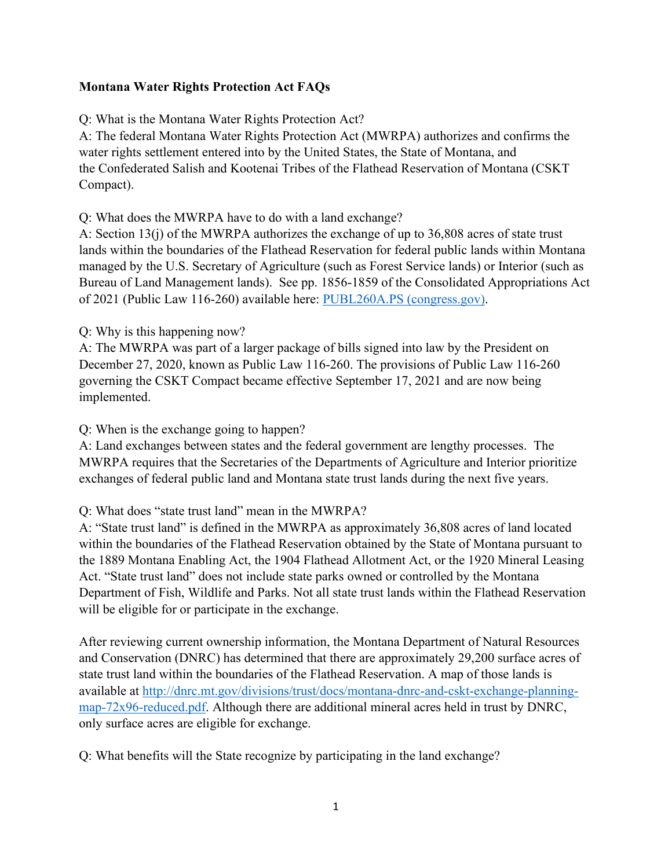### **Montana Water Rights Protection Act FAQs**

Q: What is the Montana Water Rights Protection Act?

A: The federal Montana Water Rights Protection Act (MWRPA) authorizes and confirms the water rights settlement entered into by the United States, the State of Montana, and the Confederated Salish and Kootenai Tribes of the Flathead Reservation of Montana (CSKT Compact).

Q: What does the MWRPA have to do with a land exchange?

A: Section 13(j) of the MWRPA authorizes the exchange of up to 36,808 acres of state trust lands within the boundaries of the Flathead Reservation for federal public lands within Montana managed by the U.S. Secretary of Agriculture (such as Forest Service lands) or Interior (such as Bureau of Land Management lands). See pp. 1856-1859 of the Consolidated Appropriations Act of 2021 (Public Law 116-260) available here: [PUBL260A.PS \(congress.gov\).](https://www.congress.gov/116/plaws/publ260/PLAW-116publ260.pdf)

Q: Why is this happening now?

A: The MWRPA was part of a larger package of bills signed into law by the President on December 27, 2020, known as Public Law 116-260. The provisions of Public Law 116-260 governing the CSKT Compact became effective September 17, 2021 and are now being implemented.

### Q: When is the exchange going to happen?

A: Land exchanges between states and the federal government are lengthy processes. The MWRPA requires that the Secretaries of the Departments of Agriculture and Interior prioritize exchanges of federal public land and Montana state trust lands during the next five years.

### Q: What does "state trust land" mean in the MWRPA?

A: "State trust land" is defined in the MWRPA as approximately 36,808 acres of land located within the boundaries of the Flathead Reservation obtained by the State of Montana pursuant to the 1889 Montana Enabling Act, the 1904 Flathead Allotment Act, or the 1920 Mineral Leasing Act. "State trust land" does not include state parks owned or controlled by the Montana Department of Fish, Wildlife and Parks. Not all state trust lands within the Flathead Reservation will be eligible for or participate in the exchange.

After reviewing current ownership information, the Montana Department of Natural Resources and Conservation (DNRC) has determined that there are approximately 29,200 surface acres of state trust land within the boundaries of the Flathead Reservation. A map of those lands is available at [http://dnrc.mt.gov/divisions/trust/docs/montana-dnrc-and-cskt-exchange-planning](http://dnrc.mt.gov/divisions/trust/docs/montana-dnrc-and-cskt-exchange-planning-map-72x96-reduced.pdf)[map-72x96-reduced.pdf.](http://dnrc.mt.gov/divisions/trust/docs/montana-dnrc-and-cskt-exchange-planning-map-72x96-reduced.pdf) Although there are additional mineral acres held in trust by DNRC, only surface acres are eligible for exchange.

Q: What benefits will the State recognize by participating in the land exchange?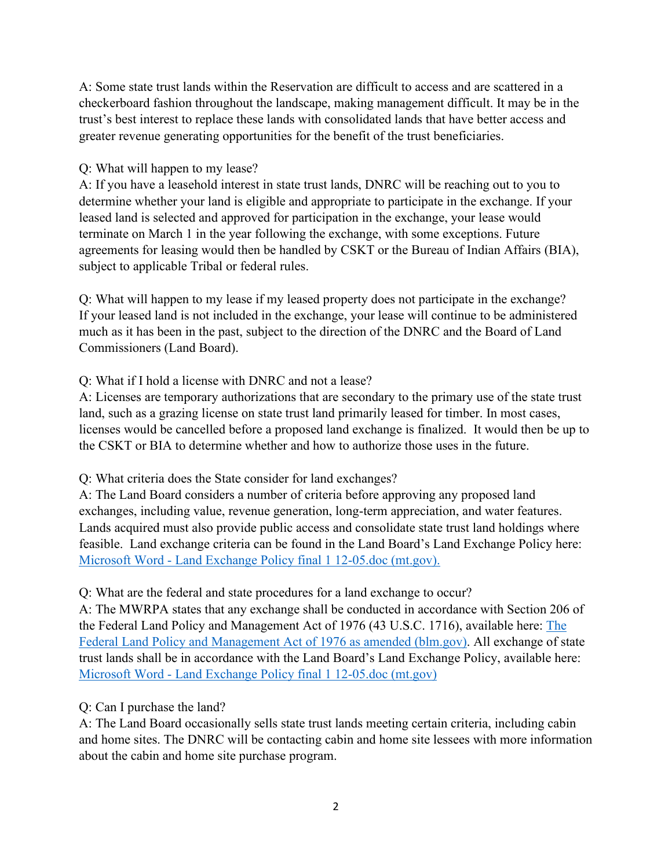A: Some state trust lands within the Reservation are difficult to access and are scattered in a checkerboard fashion throughout the landscape, making management difficult. It may be in the trust's best interest to replace these lands with consolidated lands that have better access and greater revenue generating opportunities for the benefit of the trust beneficiaries.

# Q: What will happen to my lease?

A: If you have a leasehold interest in state trust lands, DNRC will be reaching out to you to determine whether your land is eligible and appropriate to participate in the exchange. If your leased land is selected and approved for participation in the exchange, your lease would terminate on March 1 in the year following the exchange, with some exceptions. Future agreements for leasing would then be handled by CSKT or the Bureau of Indian Affairs (BIA), subject to applicable Tribal or federal rules.

Q: What will happen to my lease if my leased property does not participate in the exchange? If your leased land is not included in the exchange, your lease will continue to be administered much as it has been in the past, subject to the direction of the DNRC and the Board of Land Commissioners (Land Board).

# Q: What if I hold a license with DNRC and not a lease?

A: Licenses are temporary authorizations that are secondary to the primary use of the state trust land, such as a grazing license on state trust land primarily leased for timber. In most cases, licenses would be cancelled before a proposed land exchange is finalized. It would then be up to the CSKT or BIA to determine whether and how to authorize those uses in the future.

### Q: What criteria does the State consider for land exchanges?

A: The Land Board considers a number of criteria before approving any proposed land exchanges, including value, revenue generation, long-term appreciation, and water features. Lands acquired must also provide public access and consolidate state trust land holdings where feasible. Land exchange criteria can be found in the Land Board's Land Exchange Policy here: [Microsoft Word - Land Exchange Policy final 1 12-05.doc \(mt.gov\).](http://dnrc.mt.gov/divisions/trust/docs/real-estate-management/land-banking/LandExchangePolicy.pdf)

### Q: What are the federal and state procedures for a land exchange to occur?

A: The MWRPA states that any exchange shall be conducted in accordance with Section 206 of the Federal Land Policy and Management Act of 1976 (43 U.S.C. 1716), available here: [The](https://www.blm.gov/sites/blm.gov/files/AboutUs_LawsandRegs_FLPMA.pdf)  [Federal Land Policy and Management Act of 1976 as amended \(blm.gov\).](https://www.blm.gov/sites/blm.gov/files/AboutUs_LawsandRegs_FLPMA.pdf) All exchange of state trust lands shall be in accordance with the Land Board's Land Exchange Policy, available here: [Microsoft Word - Land Exchange Policy final 1 12-05.doc \(mt.gov\)](http://dnrc.mt.gov/divisions/trust/docs/real-estate-management/land-banking/LandExchangePolicy.pdf)

# Q: Can I purchase the land?

A: The Land Board occasionally sells state trust lands meeting certain criteria, including cabin and home sites. The DNRC will be contacting cabin and home site lessees with more information about the cabin and home site purchase program.